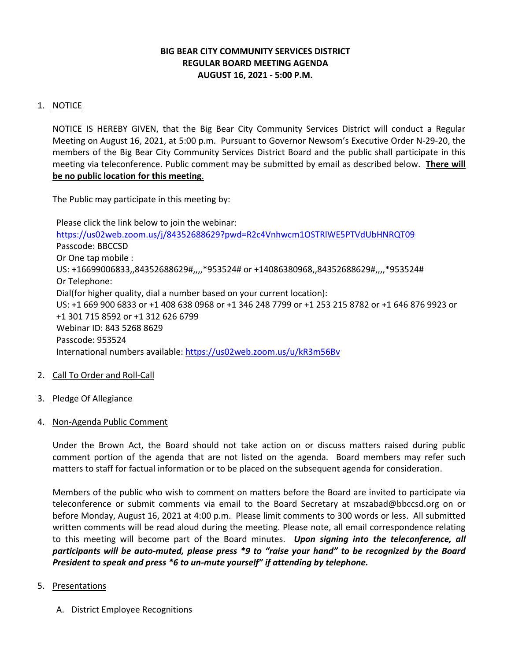# **BIG BEAR CITY COMMUNITY SERVICES DISTRICT REGULAR BOARD MEETING AGENDA AUGUST 16, 2021 - 5:00 P.M.**

## 1. NOTICE

NOTICE IS HEREBY GIVEN, that the Big Bear City Community Services District will conduct a Regular Meeting on August 16, 2021, at 5:00 p.m. Pursuant to Governor Newsom's Executive Order N-29-20, the members of the Big Bear City Community Services District Board and the public shall participate in this meeting via teleconference. Public comment may be submitted by email as described below. **There will be no public location for this meeting**.

The Public may participate in this meeting by:

Please click the link below to join the webinar: <https://us02web.zoom.us/j/84352688629?pwd=R2c4Vnhwcm1OSTRlWE5PTVdUbHNRQT09> Passcode: BBCCSD Or One tap mobile : US: +16699006833,,84352688629#,,,,\*953524# or +14086380968,,84352688629#,,,,\*953524# Or Telephone: Dial(for higher quality, dial a number based on your current location): US: +1 669 900 6833 or +1 408 638 0968 or +1 346 248 7799 or +1 253 215 8782 or +1 646 876 9923 or +1 301 715 8592 or +1 312 626 6799 Webinar ID: 843 5268 8629 Passcode: 953524 International numbers available:<https://us02web.zoom.us/u/kR3m56Bv>

- 2. Call To Order and Roll-Call
- 3. Pledge Of Allegiance
- 4. Non-Agenda Public Comment

Under the Brown Act, the Board should not take action on or discuss matters raised during public comment portion of the agenda that are not listed on the agenda. Board members may refer such matters to staff for factual information or to be placed on the subsequent agenda for consideration.

Members of the public who wish to comment on matters before the Board are invited to participate via teleconference or submit comments via email to the Board Secretary at mszabad@bbccsd.org on or before Monday, August 16, 2021 at 4:00 p.m. Please limit comments to 300 words or less. All submitted written comments will be read aloud during the meeting. Please note, all email correspondence relating to this meeting will become part of the Board minutes. *Upon signing into the teleconference, all participants will be auto-muted, please press \*9 to "raise your hand" to be recognized by the Board President to speak and press \*6 to un-mute yourself" if attending by telephone.*

## 5. Presentations

A. District Employee Recognitions